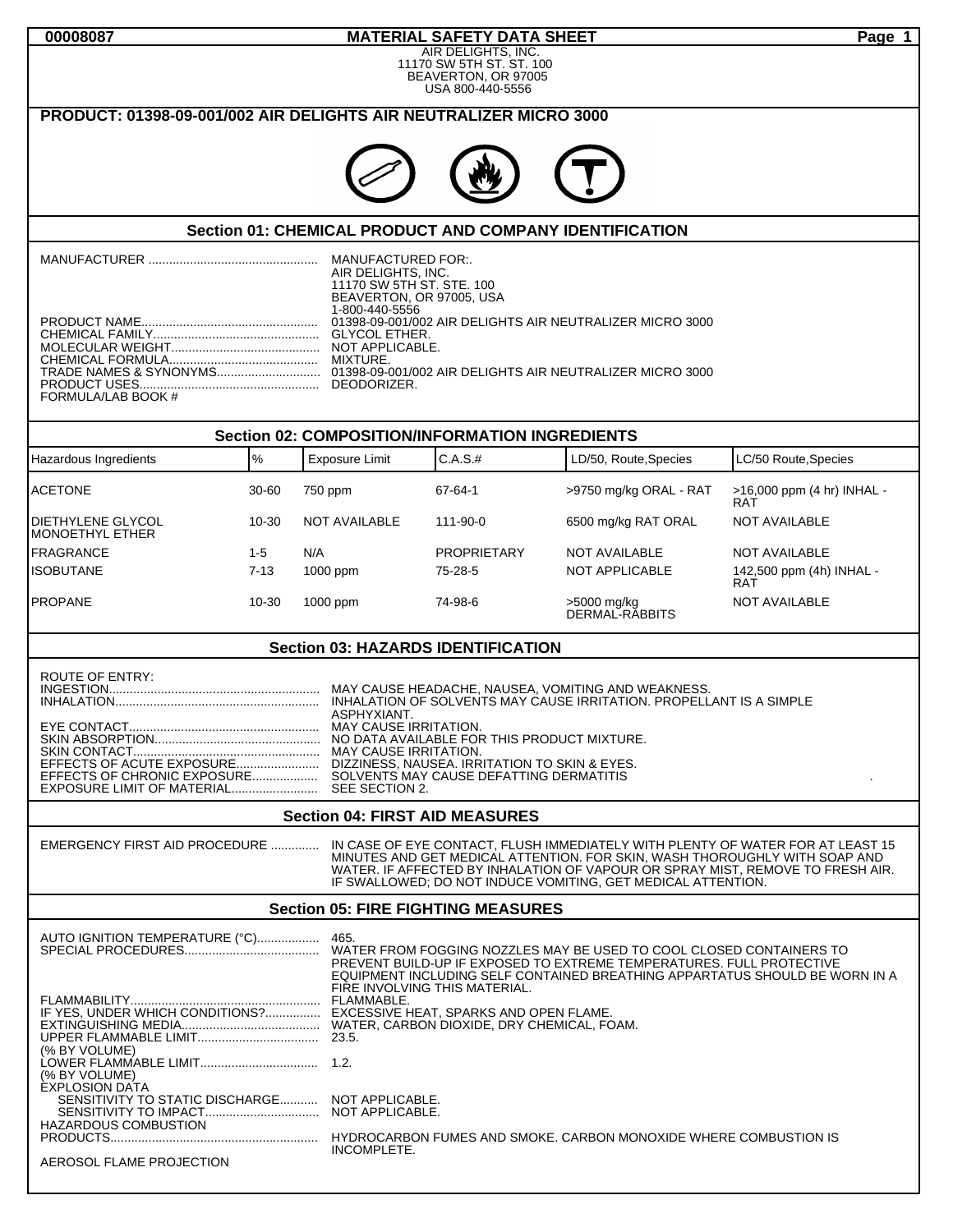| 00008087                                                                                                      |                 |                                                 | <b>MATERIAL SAFETY DATA SHEET</b>                                 |                                                                            | Page 1                                                                         |
|---------------------------------------------------------------------------------------------------------------|-----------------|-------------------------------------------------|-------------------------------------------------------------------|----------------------------------------------------------------------------|--------------------------------------------------------------------------------|
| AIR DELIGHTS, INC.<br>11170 SW 5TH ST. ST. 100<br>BEAVERTON, OR 97005<br>USA 800-440-5556                     |                 |                                                 |                                                                   |                                                                            |                                                                                |
| PRODUCT: 01398-09-001/002 AIR DELIGHTS AIR NEUTRALIZER MICRO 3000                                             |                 |                                                 |                                                                   |                                                                            |                                                                                |
|                                                                                                               |                 |                                                 |                                                                   |                                                                            |                                                                                |
|                                                                                                               |                 |                                                 |                                                                   |                                                                            |                                                                                |
|                                                                                                               |                 |                                                 |                                                                   |                                                                            |                                                                                |
|                                                                                                               |                 |                                                 |                                                                   | <b>Section 01: CHEMICAL PRODUCT AND COMPANY IDENTIFICATION</b>             |                                                                                |
|                                                                                                               |                 |                                                 |                                                                   |                                                                            |                                                                                |
|                                                                                                               |                 | AIR DELIGHTS, INC.<br>11170 SW 5TH ST. STE. 100 |                                                                   |                                                                            |                                                                                |
|                                                                                                               |                 | BEAVERTON, OR 97005, USA<br>1-800-440-5556      |                                                                   |                                                                            |                                                                                |
|                                                                                                               |                 |                                                 |                                                                   |                                                                            |                                                                                |
|                                                                                                               |                 |                                                 |                                                                   |                                                                            |                                                                                |
| FORMULA/LAB BOOK #                                                                                            |                 |                                                 |                                                                   |                                                                            |                                                                                |
|                                                                                                               |                 |                                                 |                                                                   |                                                                            |                                                                                |
| Hazardous Ingredients                                                                                         | $\%$            | Exposure Limit                                  | <b>Section 02: COMPOSITION/INFORMATION INGREDIENTS</b><br>C.A.S.# | LD/50, Route, Species                                                      | LC/50 Route, Species                                                           |
|                                                                                                               |                 |                                                 |                                                                   |                                                                            |                                                                                |
| <b>ACETONE</b>                                                                                                | 30-60           | 750 ppm                                         | 67-64-1                                                           | >9750 mg/kg ORAL - RAT                                                     | >16,000 ppm (4 hr) INHAL -<br>RAT                                              |
| <b>DIETHYLENE GLYCOL</b><br>MONOETHYL ETHER                                                                   | 10-30           | <b>NOT AVAILABLE</b>                            | 111-90-0                                                          | 6500 mg/kg RAT ORAL                                                        | <b>NOT AVAILABLE</b>                                                           |
| <b>FRAGRANCE</b><br><b>ISOBUTANE</b>                                                                          | 1-5<br>$7 - 13$ | N/A<br>1000 ppm                                 | <b>PROPRIETARY</b><br>75-28-5                                     | <b>NOT AVAILABLE</b><br>NOT APPLICABLE                                     | <b>NOT AVAILABLE</b><br>142,500 ppm (4h) INHAL -                               |
| <b>PROPANE</b>                                                                                                | 10-30           | 1000 ppm                                        | 74-98-6                                                           |                                                                            | <b>RAT</b><br><b>NOT AVAILABLE</b>                                             |
|                                                                                                               |                 |                                                 |                                                                   | >5000 mg/kg<br>DERMAL-RĂBBITS                                              |                                                                                |
|                                                                                                               |                 |                                                 | <b>Section 03: HAZARDS IDENTIFICATION</b>                         |                                                                            |                                                                                |
| <b>ROUTE OF ENTRY:</b>                                                                                        |                 |                                                 |                                                                   |                                                                            |                                                                                |
|                                                                                                               |                 | ASPHYXIANT.                                     |                                                                   |                                                                            |                                                                                |
|                                                                                                               |                 |                                                 |                                                                   |                                                                            |                                                                                |
|                                                                                                               |                 |                                                 |                                                                   |                                                                            |                                                                                |
|                                                                                                               |                 |                                                 |                                                                   |                                                                            |                                                                                |
| <b>Section 04: FIRST AID MEASURES</b>                                                                         |                 |                                                 |                                                                   |                                                                            |                                                                                |
| EMERGENCY FIRST AID PROCEDURE  IN CASE OF EYE CONTACT, FLUSH IMMEDIATELY WITH PLENTY OF WATER FOR AT LEAST 15 |                 |                                                 |                                                                   | MINUTES AND GET MEDICAL ATTENTION. FOR SKIN, WASH THOROUGHLY WITH SOAP AND |                                                                                |
|                                                                                                               |                 |                                                 |                                                                   |                                                                            | WATER. IF AFFECTED BY INHALATION OF VAPOUR OR SPRAY MIST, REMOVE TO FRESH AIR. |
| IF SWALLOWED; DO NOT INDUCE VOMITING, GET MEDICAL ATTENTION.<br><b>Section 05: FIRE FIGHTING MEASURES</b>     |                 |                                                 |                                                                   |                                                                            |                                                                                |
|                                                                                                               |                 |                                                 |                                                                   |                                                                            |                                                                                |
|                                                                                                               |                 |                                                 |                                                                   | PREVENT BUILD-UP IF EXPOSED TO EXTREME TEMPERATURES. FULL PROTECTIVE       |                                                                                |
|                                                                                                               |                 |                                                 | FIRE INVOLVING THIS MATERIAL.                                     |                                                                            | EQUIPMENT INCLUDING SELF CONTAINED BREATHING APPARTATUS SHOULD BE WORN IN A    |
| IF YES, UNDER WHICH CONDITIONS? EXCESSIVE HEAT, SPARKS AND OPEN FLAME.                                        |                 |                                                 |                                                                   |                                                                            |                                                                                |
| (% BY VOLUME)                                                                                                 |                 |                                                 |                                                                   |                                                                            |                                                                                |
| (% BY VOLUME)                                                                                                 |                 |                                                 |                                                                   |                                                                            |                                                                                |
| <b>EXPLOSION DATA</b><br>SENSITIVITY TO STATIC DISCHARGE NOT APPLICABLE.                                      |                 |                                                 |                                                                   |                                                                            |                                                                                |
| HAZARDOUS COMBUSTION                                                                                          |                 |                                                 |                                                                   |                                                                            |                                                                                |
| AEROSOL FLAME PROJECTION                                                                                      |                 | INCOMPLETE.                                     |                                                                   |                                                                            |                                                                                |
|                                                                                                               |                 |                                                 |                                                                   |                                                                            |                                                                                |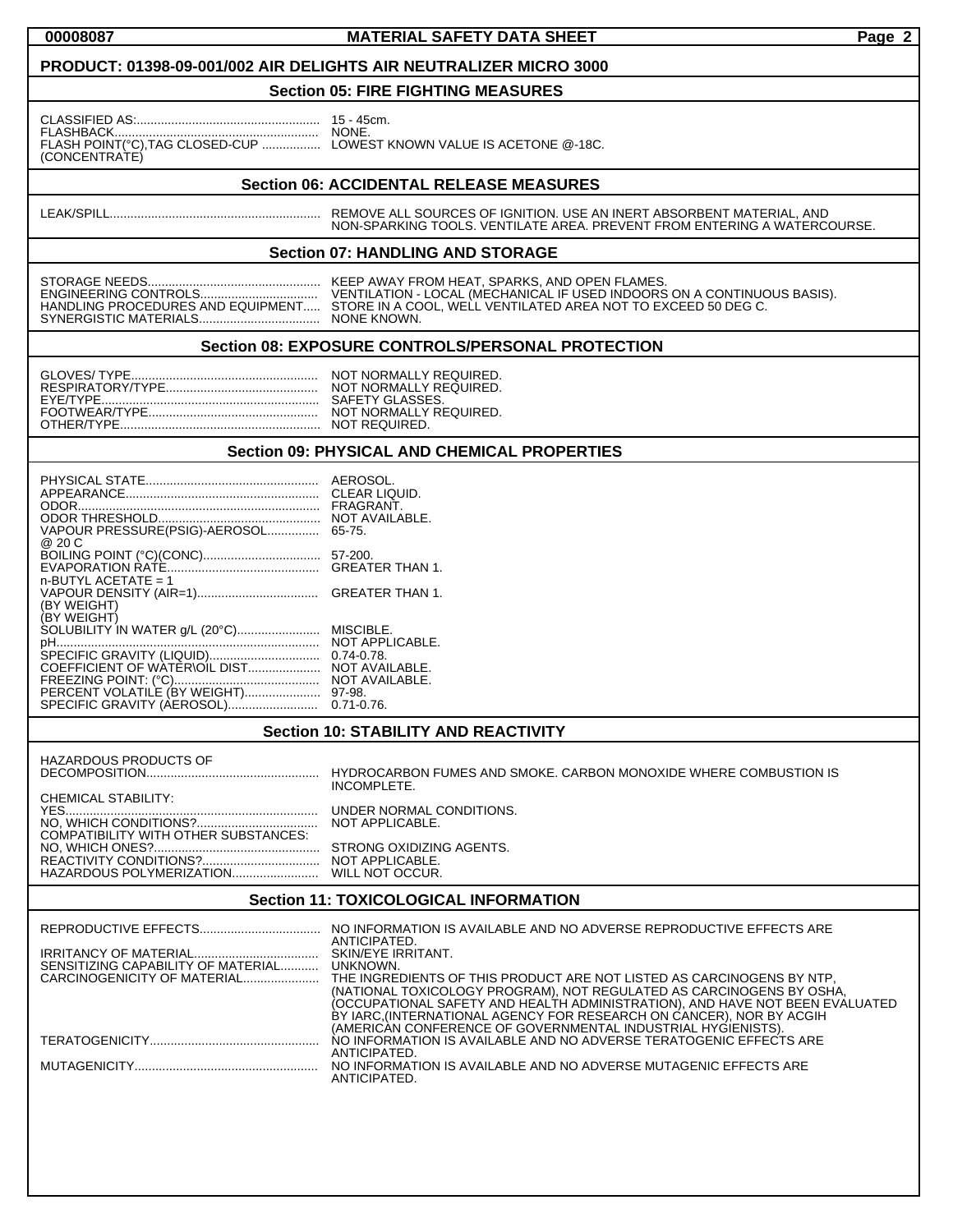### **00008087 MATERIAL SAFETY DATA SHEET Page 2**

#### **PRODUCT: 01398-09-001/002 AIR DELIGHTS AIR NEUTRALIZER MICRO 3000**

## **Section 05: FIRE FIGHTING MEASURES**

| (CONCENTRATE) |  |
|---------------|--|

15 - 45cm.<br>NONE. LOWEST KNOWN VALUE IS ACETONE @-18C.

### **Section 06: ACCIDENTAL RELEASE MEASURES**

LEAK/SPILL............................................................. REMOVE ALL SOURCES OF IGNITION. USE AN INERT ABSORBENT MATERIAL, AND NON-SPARKING TOOLS. VENTILATE AREA. PREVENT FROM ENTERING A WATERCOURSE.

#### **Section 07: HANDLING AND STORAGE**

SYNERGISTIC MATERIALS................................... NONE KNOWN.

STORAGE NEEDS.................................................. KEEP AWAY FROM HEAT, SPARKS, AND OPEN FLAMES. ENGINEERING CONTROLS.................................. VENTILATION - LOCAL (MECHANICAL IF USED INDOORS ON A CONTINUOUS BASIS). HANDLING PROCEDURES AND EQUIPMENT..... STORE IN A COOL, WELL VENTILATED AREA NOT TO EXCEED 50 DEG C.

## **Section 08: EXPOSURE CONTROLS/PERSONAL PROTECTION**

| NOT NORMALLY REQUIRED.<br>NOT NORMALLY REQUIRED.<br>NOT NORMALLY REQUIRED. |
|----------------------------------------------------------------------------|
|                                                                            |

#### **Section 09: PHYSICAL AND CHEMICAL PROPERTIES**

| APPFARANCF.<br>ODOR.<br>VAPOUR PRESSURE(PSIG)-AEROSOL<br>@ 20 C                                                                                            | AEROSOL.<br>CLEAR LIQUID.<br>FRAGRANT.<br>NOT AVAILABLE.<br>65-75.                                               |
|------------------------------------------------------------------------------------------------------------------------------------------------------------|------------------------------------------------------------------------------------------------------------------|
| $n$ -BUTYL ACETATE = 1                                                                                                                                     | 57-200.<br><b>GREATER THAN 1.</b>                                                                                |
| (BY WEIGHT)<br>(BY WEIGHT)                                                                                                                                 | <b>GREATER THAN 1.</b>                                                                                           |
| SOLUBILITY IN WATER g/L (20°C)<br>SPECIFIC GRAVITY (LIQUID)<br>COEFFICIENT OF WATER\OIL DIST<br>PERCENT VOLATILE (BY WEIGHT)<br>SPECIFIC GRAVITY (AEROSOL) | MISCIBLE.<br>NOT APPLICABLE.<br>$0.74 - 0.78$ .<br>NOT AVAILABLE.<br>NOT AVAILABLE.<br>97-98.<br>$0.71 - 0.76$ . |

#### **Section 10: STABILITY AND REACTIVITY**

| <b>HAZARDOUS PRODUCTS OF</b>                                               | HYDROCARBON FUMES AND SMOKE, CARBON MONOXIDE WHERE COMBUSTION IS<br>INCOMPLETE. |
|----------------------------------------------------------------------------|---------------------------------------------------------------------------------|
| CHEMICAL STABILITY:<br>YFS.<br><b>COMPATIBILITY WITH OTHER SUBSTANCES:</b> | UNDER NORMAL CONDITIONS.<br>NOT APPLICABLE.                                     |
|                                                                            | STRONG OXIDIZING AGENTS.<br>NOT APPLICABLE.                                     |

# **Section 11: TOXICOLOGICAL INFORMATION**

|                                             | ANTICIPATED.<br>SKIN/EYE IRRITANT.                                                 |
|---------------------------------------------|------------------------------------------------------------------------------------|
| SENSITIZING CAPABILITY OF MATERIAL UNKNOWN. |                                                                                    |
|                                             |                                                                                    |
|                                             | (NATIONAL TOXICOLOGY PROGRAM), NOT REGULATED AS CARCINOGENS BY OSHA,               |
|                                             | (OCCUPATIONAL SAFETY AND HEALTH ADMINISTRATION), AND HAVE NOT BEEN EVALUATED       |
|                                             | BY IARC, (INTERNATIONAL AGENCY FOR RESEARCH ON CANCER), NOR BY ACGIH               |
|                                             | (AMERICAN CONFERENCE OF GOVERNMENTAL INDUSTRIAL HYGIENISTS).                       |
|                                             | NO INFORMATION IS AVAILABLE AND NO ADVERSE TERATOGENIC EFFECTS ARE<br>ANTICIPATED. |
|                                             | NO INFORMATION IS AVAILABLE AND NO ADVERSE MUTAGENIC EFFECTS ARE                   |
|                                             | ANTICIPATED.                                                                       |
|                                             |                                                                                    |